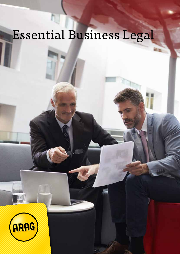# Essential Business Legal

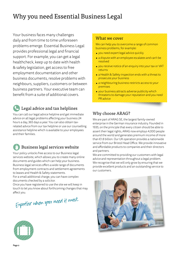# Why you need Essential Business Legal

Your business faces many challenges daily and from time to time unforeseen problems emerge. Essential Business Legal provides professional legal and financial support. For example, you can get a legal healthcheck, keep up to date with health & safety legislation, get access to free employment documentation and other business documents, resolve problems with neighbours, suppliers, customers or between business partners. Your executive team can benefit from a suite of additional covers.

# Legal advice and tax helplines

You can call our legal advice helpline and get immediate advice on all legal problems affecting your business 24 hours a day, 365 days a year. You can also obtain taxrelated advice from our tax helpline or use our counselling assistance helpline which is available to your employees and their families.

# Business legal services website

Your policy unlocks free access to our Business legal services website, which allows you to create many online documents and guides which can help your business. Business legal services offers a wide range of documents from employment contracts and settlement agreements to leases and Health & Safety statements.

For a small additional charge, you can have complex documents checked by a solicitor.

Once you have registered to use the site we will keep in touch to let you know about forthcoming changes that may affect you.



#### What we cover

We can help you to overcome a range of common business problems, for example:

- you need expert legal advice quickly
- a dispute with an employee escalates and can't be resolved
- you receive notice of an enquiry into your tax or VAT returns
- a Health & Safety inspection ends with a threat to prosecute your business
- a neighbouring business restricts access to your premises
- your business attracts adverse publicity which threatens to damage your reputation and you need PR advice

## Why choose ARAG?

We are part of ARAG SE, the largest family-owned enterprise in the German insurance industry. Founded in 1935, on the principle that every citizen should be able to assert their legal rights, ARAG now employs 4,000 people around the world and generates premium income of more than €1.8 billion. Our UK operation provides a nationwide service from our Bristol Head Office. We provide innovative and affordable products to companies and their directors and partners.

We are committed to providing our customers with legal advice and representation throughout a legal problem. We recognise that we will only grow by ensuring that we provide excellent products and an outstanding service to our customers.



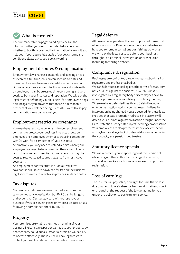# Your cover



The summary table on pages 6 and 7 provides all the information that you need to consider before deciding whether to buy this cover but the information below will also help you. If you require full details of our policy terms and conditions please ask to see a policy wording.

# Employment disputes & compensation

Employment law changes constantly and keeping on top of it can be a full-time job. You can keep up-to-date and download free employment-related documents from our Business legal services website. If you have a dispute with an employee it can be stressful, time-consuming and very costly to both your finances and reputation. We will pay the legal costs of defending your business if an employee brings a claim against you provided that there is a reasonable prospect of your defence being successful. We will also pay compensation awarded against you.

#### Employment restrictive covenants

You may have restrictive covenants in your employment contracts to protect your business interests should an employee or ex-employee attempt to trade in competition with (or work for a competitor of) your business. Alternatively, you may need to defend a claim where your employee is alleged to have breached their ex-employer's restrictive covenant. Essential Business Legal will pay the costs to resolve legal disputes that arise from restrictive covenants.

An employment contract that includes a restrictive covenant is available to download for free on the Business legal services website, which also provides guidance notes.

## Tax disputes

No business welcomes an unexpected visit from the taxman and any investigation by HMRC can be lengthy and expensive. Our tax advisors will represent your business if you are investigated or where a dispute arises following a compliance check by HMRC.

# Property

Your premises are vital to the smooth running of your business. Nuisance, trespass or damage to your property by another party could put a substantial strain on your ability to operate effectively. The insurer will pay legal costs to protect your rights and claim compensation if necessary.

# Legal defence

All businesses operate within a complicated framework of legislation. Our Business legal services website can help you to remain compliant but if things go wrong we will pay the legal costs to defend your business throughout a criminal investigation or prosecution, including motoring offences.

# Compliance & regulation

Businesses are confronted by ever-increasing burdens from regulatory and professional bodies.

We can help you to appeal against the terms of a statutory notice issued against the business, if your business is investigated by a regulatory body or if employees have to attend a professional or regulatory disciplinary hearing. Where we have defended Health and Safety Executive enforcement action against you that results in Fees For Intervention being charged, you are covered for these fees. Provided that data protection redress is in place we will defend your business against civil action brought under the Data Protection Act by data subjects seeking compensation. Your employees are also protected if they face civil action arising from an alleged act of unlawful discrimination or in their capacity as a pension fund trustee.

# Statutory licence appeals

We will represent you to appeal against the decision of a licensing or other authority, to change the terms of, suspend, or revoke your business licence or compulsory registration.

#### Loss of earnings

The insurer will pay salary or wages for time that is lost due to an employee's absence from work to attend court or tribunal at the request of the lawyer acting for you under the policy or to perform jury service.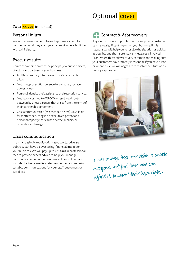# Optional cover

#### Your cover (continued)

#### Personal injury

We will represent an employee to pursue a claim for compensation if they are injured at work where fault lies with a third party.

#### Executive suite

A suite of covers to protect the principal, executive officers, directors and partners of your business.

- An HMRC enquiry into the executive's personal tax affairs.
- Motoring prosecution defence for personal, social or domestic use.
- Personal identity theft assistance and resolution service.
- Mediation costs up to £25,000 to resolve a dispute between business partners that arises from the terms of their partnership agreement.
- Crisis communication (as described below) is available for matters occurring in an executive's private and personal capacity that cause adverse publicity or reputational damage.

#### Crisis communication

In an increasingly media-orientated world, adverse publicity can have a devastating financial impact on your business. We will pay up to £25,000 in professional fees to provide expert advice to help you manage communication effectively in times of crisis. This can include drafting a media statement as well as preparing suitable communications for your staff, customers or suppliers.

# Contract & debt recovery

Any kind of dispute or problem with a supplier or customer can have a significant impact on your business. If this happens we will help you to resolve the situation as quickly as possible and the insurer pay any legal costs involved. Problems with cashflow are very common and making sure your customers pay promptly is essential. If you have a late payment issue, we will negotiate to resolve the situation as quickly as possible.



It has always been our vision to enable everyone, not just those who can afford it, to assert their legal rights.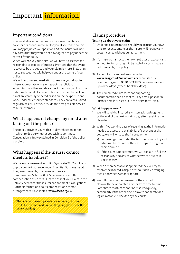# Important information

#### Important conditions

You must always contact us first before appointing a solicitor or accountant to act for you. If you fail to do this you may prejudice your position and the insurer will not pay costs that they would not have agreed to pay under the terms of your policy.

When we receive your claim, we will have it assessed for reasonable prospects of success. Provided that the event is covered by the policy and your claim is more likely than not to succeed, we will help you under the terms of your policy.

We will recommend mediation to resolve your dispute where appropriate or we will appoint a solicitor, accountant or other suitable expert to act for you from our nationwide panel of specialist firms. The members of our panel are carefully selected based on their expertise and

work under strict service standards. They are also audited regularly to ensure they provide the best possible service to our customers.

#### What happens if I change my mind after taking out the policy?

The policy provides you with a 14-day reflection period in which to decide whether you wish to continue. Cancellation is fully explained in Condition 9 of the policy wording.

#### What happens if the insurer cannot meet its liabilities?

We have an agreement with Brit Syndicate 2987 at Lloyd's to provide the insurance under Essential Business Legal. They are covered by the Financial Services Compensation Scheme (FSCS). You may be entitled to compensation of up to 90% of the cost of your claim in the unlikely event that the insurer cannot meet its obligations. Further information about compensation scheme arrangements is available at www.fscs.org.uk.

The tables on the next page show a summary of cover. For full terms and conditions of the policy, please read the policy wording.

## Claims procedure

#### Telling us about your claim

- 1) Under no circumstances should you instruct your own solicitor or accountant as the insurer will not pay any costs incurred without our agreement.
- 2) If an insured instructs their own solicitor or accountant without telling us, they will be liable for costs that are not covered by this policy.
- 3) A claim form can be downloaded at www.arag.co.uk/newclaims or requested by telephoning us on 0330 303 1955 between 9am and 5pm weekdays (except bank holidays).
- 4) The completed claim form and supporting documentation can be sent to us by email, post or fax. Further details are set out in the claim form itself.

#### What happens next?

- 1) We will send the insured a written acknowledgment by the end of the next working day after receiving their claim form.
- 2) Within five working days of receiving all the information needed to assess the availability of cover under the policy, we will write to the insured either:
	- a) confirming cover under the terms of your policy and advising the insured of the next steps to progress their claim; or
	- b) if the claim is not covered, we will explain in full the reason why and advise whether we can assist in another way.
- 3) When a representative is appointed they will try to resolve the insured's dispute without delay, arranging mediation whenever appropriate.
- 4) We will check on the progress of the insured's claim with the appointed advisor from time to time. Sometimes matters cannot be resolved quickly, particularly if the other side is slow to cooperate or a legal timetable is decided by the courts.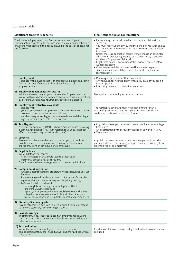#### Summary table

| Significant features & benefits                                                                                                                                                                                           |                                                                                                                                                                                                                                                                                                                                                                                                                                                                                                                                                                                                                | Significant exclusions or limitations                                                                                                                                                                                                                                                                                                                                                                                                                                                                                                                                                                                                                            |
|---------------------------------------------------------------------------------------------------------------------------------------------------------------------------------------------------------------------------|----------------------------------------------------------------------------------------------------------------------------------------------------------------------------------------------------------------------------------------------------------------------------------------------------------------------------------------------------------------------------------------------------------------------------------------------------------------------------------------------------------------------------------------------------------------------------------------------------------------|------------------------------------------------------------------------------------------------------------------------------------------------------------------------------------------------------------------------------------------------------------------------------------------------------------------------------------------------------------------------------------------------------------------------------------------------------------------------------------------------------------------------------------------------------------------------------------------------------------------------------------------------------------------|
| The insurer will pay legal costs & expenses and employment<br>compensation awards up to the sum shown in your policy schedule<br>or as otherwise stated in the policy including the cost of appeals for<br>the following: |                                                                                                                                                                                                                                                                                                                                                                                                                                                                                                                                                                                                                | • It must always be more likely than not that your claim will be<br>successful.<br>• You must report your claim during the period of insurance and as<br>soon as you become aware of the circumstances that could lead<br>to a claim.<br>• Unless there is a conflict of interest we will choose an appointed<br>advisor until proceedings need to be issued or in any claim dealt<br>with by an Employment Tribunal.<br>• Legal costs, expenses or compensation awards incurred before<br>we accept a claim.<br>• Costs that exceed the sum we would have agreed to pay a<br>solicitor on our panel, if the insured chooses to use their own<br>representative. |
|                                                                                                                                                                                                                           | 1) Employment<br>A dispute with a past, present, or prospective employee, arising<br>from a contract of service and/or alleged breach of<br>employment laws.                                                                                                                                                                                                                                                                                                                                                                                                                                                   | • Pursuing an action other than an appeal.<br>• Any redundancy notified claim within 180 days of you taking<br>out this policy.<br>• Internal grievances or disciplinary matters.                                                                                                                                                                                                                                                                                                                                                                                                                                                                                |
|                                                                                                                                                                                                                           | 2) Employment compensation awards<br>Where we have accepted your claim under Employment, the<br>insurer will pay a basic and compensatory award made against you<br>by a tribunal, or an amount agreed by us to settle a dispute.                                                                                                                                                                                                                                                                                                                                                                              | Money due to an employee under a contract.                                                                                                                                                                                                                                                                                                                                                                                                                                                                                                                                                                                                                       |
|                                                                                                                                                                                                                           | 3) Employment restrictive covenants<br>A dispute with<br>• your employee or ex-employee which arises from a restrictive<br>covenant in a contract of service with you<br>• another party who alleges that you have breached their legal<br>rights protected by a restrictive covenant.                                                                                                                                                                                                                                                                                                                         | The restrictive covenant must not extend further than is<br>reasonably necessary to protect your business interests or<br>contain restrictions in excess of 12 months.                                                                                                                                                                                                                                                                                                                                                                                                                                                                                           |
|                                                                                                                                                                                                                           | 4) Tax disputes<br>A formal tax enquiry by HMRC, where a dispute arises following<br>a compliance check by HMRC in relation to your business tax<br>affairs, or where a dispute arises about VAT.                                                                                                                                                                                                                                                                                                                                                                                                              | • Any claim where you have been careless or have not met legal<br>timescales.<br>• An investigation by the Fraud Investigation Service of HMRC.<br>• Tax avoidance.                                                                                                                                                                                                                                                                                                                                                                                                                                                                                              |
|                                                                                                                                                                                                                           | 5) Property<br>An event which causes damage to your property, a public or<br>private nuisance or trespass, and recovery or repossession<br>of property from an employee or ex-employee.                                                                                                                                                                                                                                                                                                                                                                                                                        | Any claim where a contract exists between you and the other<br>party (apart from the recovery or repossession of property from<br>an employee or ex-employee).                                                                                                                                                                                                                                                                                                                                                                                                                                                                                                   |
|                                                                                                                                                                                                                           | 6) Legal defence<br>We will defend the insured<br>• in an investigation that could lead to prosecution<br>• if criminal proceedings are brought.<br>Cover for motor-related investigations and prosecutions is included.                                                                                                                                                                                                                                                                                                                                                                                       |                                                                                                                                                                                                                                                                                                                                                                                                                                                                                                                                                                                                                                                                  |
|                                                                                                                                                                                                                           | 7) Compliance & regulation<br>• An appeal against the terms of a Statutory Notice issued against your<br>business.<br>Representing you throughout an investigation by a professional or<br>regulatory body and at any subsequent disciplinary hearing.<br>Defence of a civil action brought<br>for wrongful arrest arising from an allegation of theft;<br>$\sim$<br>under the Data Protection Act;<br>against your employees where unlawful discrimination has been<br>alleged or there has been a breach of duty in their capacity as<br>trustee of a pension fund set up for the benefit of your employees. |                                                                                                                                                                                                                                                                                                                                                                                                                                                                                                                                                                                                                                                                  |
|                                                                                                                                                                                                                           | 8) Statutory licence appeals<br>An appeal against a decision to alter, suspend, revoke or refuse<br>to renew a statutory licence or registration.                                                                                                                                                                                                                                                                                                                                                                                                                                                              |                                                                                                                                                                                                                                                                                                                                                                                                                                                                                                                                                                                                                                                                  |
|                                                                                                                                                                                                                           | 9) Loss of earnings<br>The insurer will pay loss of earnings if an employee has to attend<br>court or tribunal for a claim under this policy or because they are<br>called for jury service.                                                                                                                                                                                                                                                                                                                                                                                                                   |                                                                                                                                                                                                                                                                                                                                                                                                                                                                                                                                                                                                                                                                  |
|                                                                                                                                                                                                                           | 10) Personal injury<br>We will represent an employee to pursue a claim for<br>compensation if they are injured at work where fault lies with a<br>third party.                                                                                                                                                                                                                                                                                                                                                                                                                                                 | Conditions, illness or disease that gradually develop over time are<br>excluded.                                                                                                                                                                                                                                                                                                                                                                                                                                                                                                                                                                                 |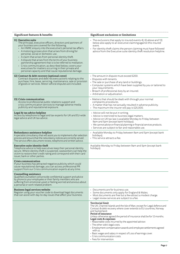| Significant features & benefits                                                                                                                                                                                                                                                                                                                                                                                                                                                                                                                                                                                                                                | Significant exclusions or limitations                                                                                                                                                                                                                                                                                                                                                                                                                                                                                                                                                                                             |
|----------------------------------------------------------------------------------------------------------------------------------------------------------------------------------------------------------------------------------------------------------------------------------------------------------------------------------------------------------------------------------------------------------------------------------------------------------------------------------------------------------------------------------------------------------------------------------------------------------------------------------------------------------------|-----------------------------------------------------------------------------------------------------------------------------------------------------------------------------------------------------------------------------------------------------------------------------------------------------------------------------------------------------------------------------------------------------------------------------------------------------------------------------------------------------------------------------------------------------------------------------------------------------------------------------------|
| 11) Executive suite<br>The principal, executive officers, directors and partners of<br>your business are covered for the following.<br>• An HMRC enquiry into the executive's personal tax affairs.<br>• A motoring prosecution that arises from driving for<br>personal, social or domestic use.<br>• A claim that arises from personal identity theft.<br>• A dispute that arises from the terms of your business<br>partnership agreement that is to be referred to mediation.<br>• Crisis communication, as described below, covers your<br>executives for matters occurring in their private and<br>personal capacity and that cause reputational damage. | • The exclusions that apply to insured events 4), 6) above and 13)<br>below also apply to an executive claiming against this insured<br>event.<br>• For identity theft claims the person claiming must have followed<br>advice from the Executive suite identity theft resolution helpline.                                                                                                                                                                                                                                                                                                                                       |
| 12) Contract & debt recovery (optional cover)<br>Contract disputes and debt recovery actions relating to the<br>purchase, hire, lease, servicing, maintenance, sale or provision<br>of goods or services. Motor vehicle disputes are included.                                                                                                                                                                                                                                                                                                                                                                                                                 | • The amount in dispute must exceed £200.<br>• Disputes with tenants.<br>• The sale or purchase of any land or buildings.<br>• Computer systems which have been supplied by you or tailored to<br>your requirements.<br>• Breach of professional duty by an insured.<br>• Arbitration or adjudication.                                                                                                                                                                                                                                                                                                                            |
| 13) Crisis communication<br>Access to professional public relations support and<br>crisis communication services to manage adverse media<br>publicity and reputational exposure.                                                                                                                                                                                                                                                                                                                                                                                                                                                                               | • Matters that should be dealt with through your normal<br>complaints procedures.<br>• A matter that has not actually resulted in adverse publicity.<br>• The maximum the insurer will pay is £25,000.                                                                                                                                                                                                                                                                                                                                                                                                                            |
| Legal & tax advice helpline<br>Access by telephone to legal and tax experts for UK and EU-wide<br>legal advice and UK tax advice.                                                                                                                                                                                                                                                                                                                                                                                                                                                                                                                              | • Advice will not be put in writing.<br>• Advice is restricted to business legal matters.<br>• Advice on UK tax law is available Monday to Friday between<br>9am and 5pm (except bank holidays).<br>• We cannot advise on financial planning or financial services products.<br>· Services are subject to fair and reasonable use.                                                                                                                                                                                                                                                                                                |
| Redundancy assistance helpline<br>A specialist consultancy that will assist you to implement a fair selection<br>process and ensure that the redundancy notices are correctly served.<br>The service offers document review, telephone and written advice.                                                                                                                                                                                                                                                                                                                                                                                                     | • Available Monday to Friday between 9am and 5pm (except bank<br>holidays).<br>$\cdot$ This service attracts a fee.                                                                                                                                                                                                                                                                                                                                                                                                                                                                                                               |
| Executive suite identity theft<br>Telephone advice to help executives keep their personal identity<br>secure. Where identity theft is suspected, caseworkers can help the<br>victim to restore their credit rating and correspond with their card<br>issuer, bank or other parties.                                                                                                                                                                                                                                                                                                                                                                            | Available Monday to Friday between 9am and 5pm (except bank<br>holidays).                                                                                                                                                                                                                                                                                                                                                                                                                                                                                                                                                         |
| Crisis communication<br>If your business has attracted negative publicity which could<br>cause reputational damage, you can access professional PR<br>support from our Crisis communication experts at any time.                                                                                                                                                                                                                                                                                                                                                                                                                                               |                                                                                                                                                                                                                                                                                                                                                                                                                                                                                                                                                                                                                                   |
| Counselling assistance<br>Qualified counsellors will provide confidential support and advice<br>by phone to your employees or their family members who are<br>suffering from emotional upset or feeling worried and anxious about<br>a personal or work-related problem.                                                                                                                                                                                                                                                                                                                                                                                       |                                                                                                                                                                                                                                                                                                                                                                                                                                                                                                                                                                                                                                   |
| <b>Business legal services website</b><br>Register using your voucher code to download legal documents<br>that can assist with day-to-day issues that affect your business.                                                                                                                                                                                                                                                                                                                                                                                                                                                                                    | • Documents are for business use.<br>• Some documents only apply for England & Wales.<br>• Most documents are free but a few attract a modest charge.<br>• Legal review services are subject to a fee.                                                                                                                                                                                                                                                                                                                                                                                                                            |
|                                                                                                                                                                                                                                                                                                                                                                                                                                                                                                                                                                                                                                                                | Territorial limit<br>The UK, Channel Islands and the Isle of Man, except for Legal defence and<br>Contract & debt recovery where cover extends to EU countries, Norway<br>and Switzerland.<br>Period of insurance<br>Unless otherwise agreed the period of insurance shall be for 12 months.<br>Legal costs & expenses<br>• Reasonable costs incurred by the appointed advisor.<br>• The other side's legal costs.<br>• Employment compensation awards and employee settlements agreed<br>with us.<br>• Basic wages and salary in respect of Loss of earnings cover.<br>• Crisis communication costs.<br>• Fees for intervention. |